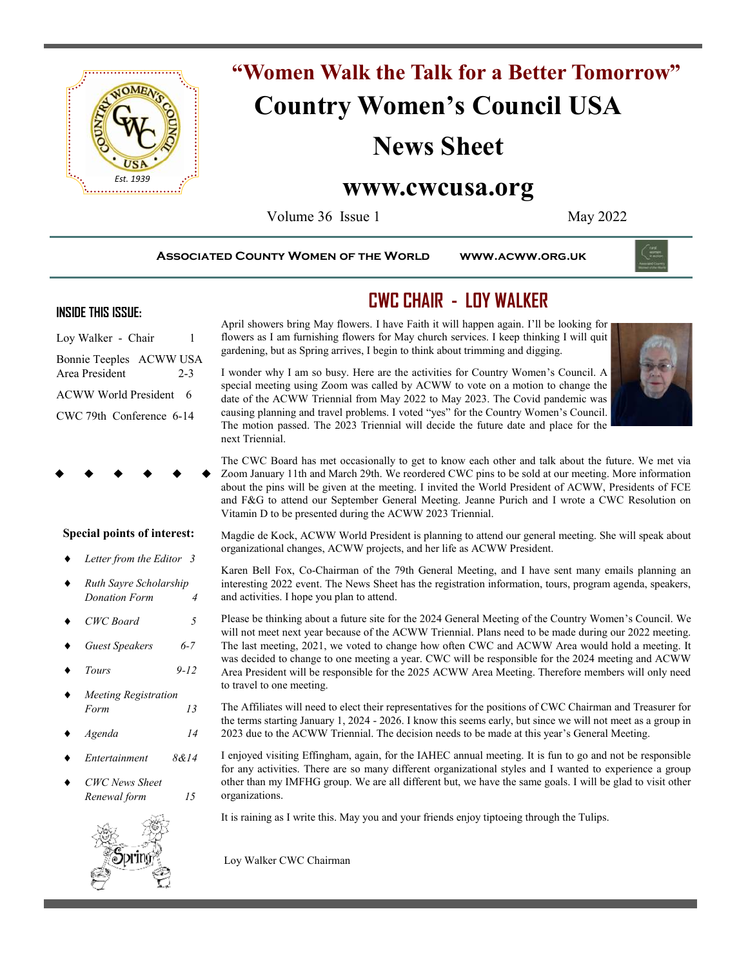

# **"Women Walk the Talk for a Better Tomorrow" Country Women's Council USA**

# **News Sheet**

# **www.cwcusa.org**

Volume 36 Issue 1 May 2022

**Associated County Women of the World www.acww.org.uk** 

### **INSIDE THIS ISSUE:**

Loy Walker - Chair 1 Bonnie Teeples ACWW USA Area President 2-3 ACWW World President 6 CWC 79th Conference 6-14

**Special points of interest:**

*Letter from the Editor 3*

 *Ruth Sayre Scholarship Donation Form 4*

*CWC Board 5*

 *Guest Speakers 6-7 Tours 9-12*

 *Meeting Registration Form 13 Agenda 14 Entertainment 8&14*

# **CWC CHAIR - LOY WALKER**

April showers bring May flowers. I have Faith it will happen again. I'll be looking for flowers as I am furnishing flowers for May church services. I keep thinking I will quit gardening, but as Spring arrives, I begin to think about trimming and digging.

I wonder why I am so busy. Here are the activities for Country Women's Council. A special meeting using Zoom was called by ACWW to vote on a motion to change the date of the ACWW Triennial from May 2022 to May 2023. The Covid pandemic was causing planning and travel problems. I voted "yes" for the Country Women's Council. The motion passed. The 2023 Triennial will decide the future date and place for the next Triennial.



The CWC Board has met occasionally to get to know each other and talk about the future. We met via Zoom January 11th and March 29th. We reordered CWC pins to be sold at our meeting. More information about the pins will be given at the meeting. I invited the World President of ACWW, Presidents of FCE and F&G to attend our September General Meeting. Jeanne Purich and I wrote a CWC Resolution on Vitamin D to be presented during the ACWW 2023 Triennial.

Magdie de Kock, ACWW World President is planning to attend our general meeting. She will speak about organizational changes, ACWW projects, and her life as ACWW President.

Karen Bell Fox, Co-Chairman of the 79th General Meeting, and I have sent many emails planning an interesting 2022 event. The News Sheet has the registration information, tours, program agenda, speakers, and activities. I hope you plan to attend.

Please be thinking about a future site for the 2024 General Meeting of the Country Women's Council. We will not meet next year because of the ACWW Triennial. Plans need to be made during our 2022 meeting. The last meeting, 2021, we voted to change how often CWC and ACWW Area would hold a meeting. It was decided to change to one meeting a year. CWC will be responsible for the 2024 meeting and ACWW Area President will be responsible for the 2025 ACWW Area Meeting. Therefore members will only need to travel to one meeting.

The Affiliates will need to elect their representatives for the positions of CWC Chairman and Treasurer for the terms starting January 1, 2024 - 2026. I know this seems early, but since we will not meet as a group in 2023 due to the ACWW Triennial. The decision needs to be made at this year's General Meeting.

I enjoyed visiting Effingham, again, for the IAHEC annual meeting. It is fun to go and not be responsible for any activities. There are so many different organizational styles and I wanted to experience a group other than my IMFHG group. We are all different but, we have the same goals. I will be glad to visit other organizations.

It is raining as I write this. May you and your friends enjoy tiptoeing through the Tulips.

Loy Walker CWC Chairman



 *CWC News Sheet Renewal form 15*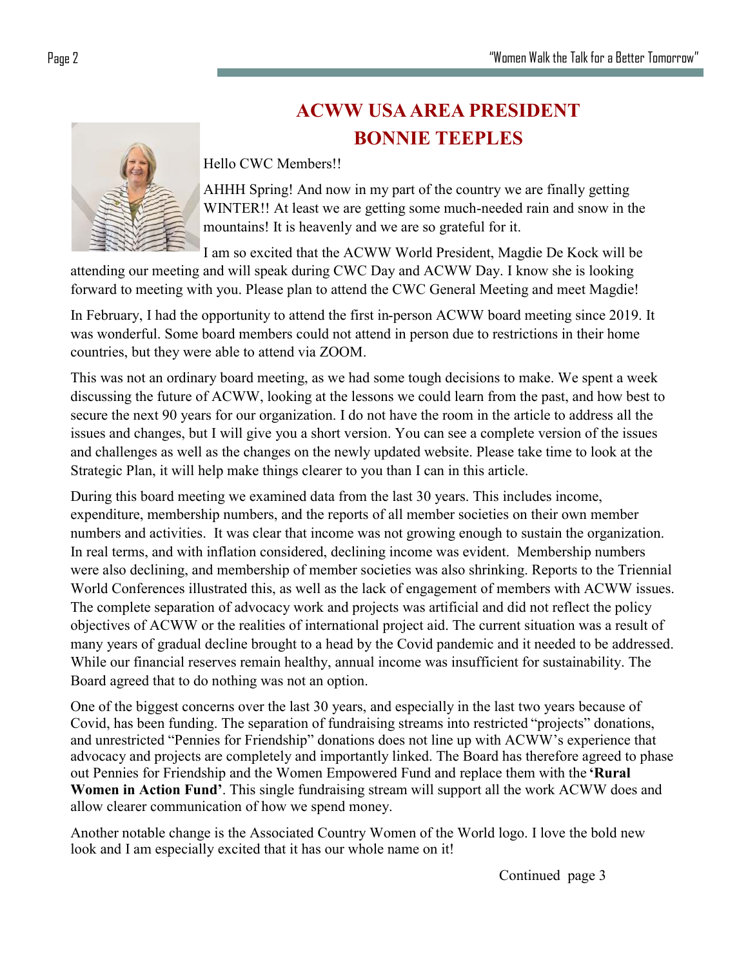# **ACWW USA AREA PRESIDENT BONNIE TEEPLES**

Hello CWC Members!!

AHHH Spring! And now in my part of the country we are finally getting WINTER!! At least we are getting some much-needed rain and snow in the mountains! It is heavenly and we are so grateful for it.

I am so excited that the ACWW World President, Magdie De Kock will be attending our meeting and will speak during CWC Day and ACWW Day. I know she is looking forward to meeting with you. Please plan to attend the CWC General Meeting and meet Magdie!

In February, I had the opportunity to attend the first in-person ACWW board meeting since 2019. It was wonderful. Some board members could not attend in person due to restrictions in their home countries, but they were able to attend via ZOOM.

This was not an ordinary board meeting, as we had some tough decisions to make. We spent a week discussing the future of ACWW, looking at the lessons we could learn from the past, and how best to secure the next 90 years for our organization. I do not have the room in the article to address all the issues and changes, but I will give you a short version. You can see a complete version of the issues and challenges as well as the changes on the newly updated website. Please take time to look at the Strategic Plan, it will help make things clearer to you than I can in this article.

During this board meeting we examined data from the last 30 years. This includes income, expenditure, membership numbers, and the reports of all member societies on their own member numbers and activities. It was clear that income was not growing enough to sustain the organization. In real terms, and with inflation considered, declining income was evident. Membership numbers were also declining, and membership of member societies was also shrinking. Reports to the Triennial World Conferences illustrated this, as well as the lack of engagement of members with ACWW issues. The complete separation of advocacy work and projects was artificial and did not reflect the policy objectives of ACWW or the realities of international project aid. The current situation was a result of many years of gradual decline brought to a head by the Covid pandemic and it needed to be addressed. While our financial reserves remain healthy, annual income was insufficient for sustainability. The Board agreed that to do nothing was not an option.

One of the biggest concerns over the last 30 years, and especially in the last two years because of Covid, has been funding. The separation of fundraising streams into restricted "projects" donations, and unrestricted "Pennies for Friendship" donations does not line up with ACWW's experience that advocacy and projects are completely and importantly linked. The Board has therefore agreed to phase out Pennies for Friendship and the Women Empowered Fund and replace them with the **'Rural Women in Action Fund'**. This single fundraising stream will support all the work ACWW does and allow clearer communication of how we spend money.

Another notable change is the Associated Country Women of the World logo. I love the bold new look and I am especially excited that it has our whole name on it!

Continued page 3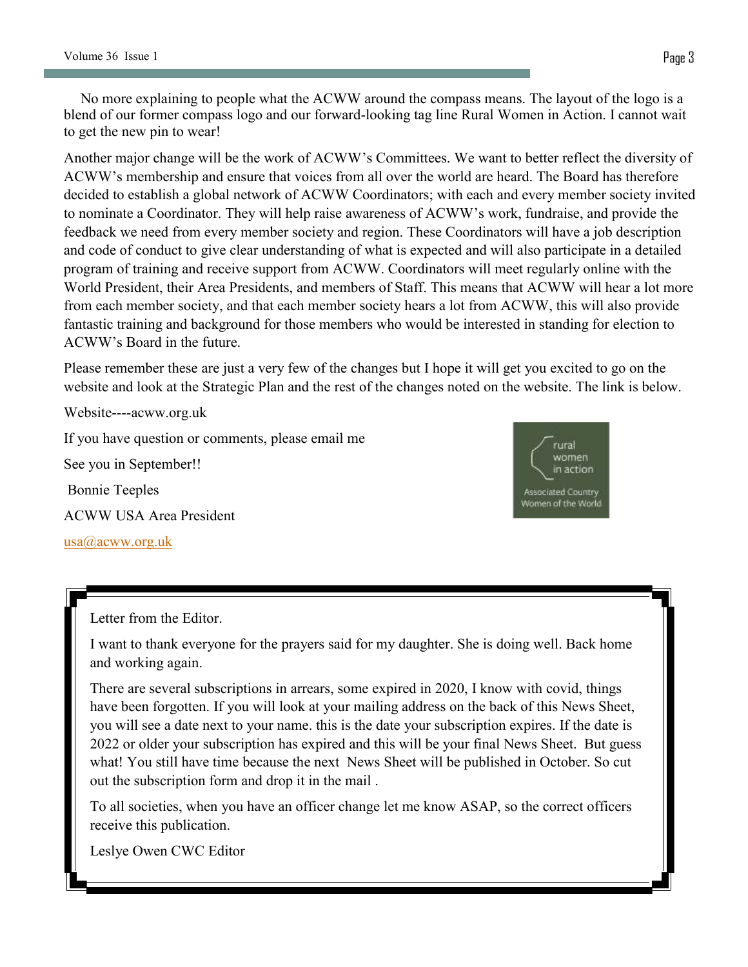No more explaining to people what the ACWW around the compass means. The layout of the logo is a blend of our former compass logo and our forward-looking tag line Rural Women in Action. I cannot wait to get the new pin to wear!

Another major change will be the work of ACWW's Committees. We want to better reflect the diversity of ACWW's membership and ensure that voices from all over the world are heard. The Board has therefore decided to establish a global network of ACWW Coordinators; with each and every member society invited to nominate a Coordinator. They will help raise awareness of ACWW's work, fundraise, and provide the feedback we need from every member society and region. These Coordinators will have a job description and code of conduct to give clear understanding of what is expected and will also participate in a detailed program of training and receive support from ACWW. Coordinators will meet regularly online with the World President, their Area Presidents, and members of Staff. This means that ACWW will hear a lot more from each member society, and that each member society hears a lot from ACWW, this will also provide fantastic training and background for those members who would be interested in standing for election to ACWW's Board in the future.

Please remember these are just a very few of the changes but I hope it will get you excited to go on the website and look at the Strategic Plan and the rest of the changes noted on the website. The link is below.

Website----acww.org.uk If you have question or comments, please email me See you in September!! Bonnie Teeples ACWW USA Area President [usa@acww.org.uk](mailto:usa@acww.org.uk)



Letter from the Editor.

I want to thank everyone for the prayers said for my daughter. She is doing well. Back home and working again.

There are several subscriptions in arrears, some expired in 2020, I know with covid, things have been forgotten. If you will look at your mailing address on the back of this News Sheet, you will see a date next to your name. this is the date your subscription expires. If the date is 2022 or older your subscription has expired and this will be your final News Sheet. But guess what! You still have time because the next News Sheet will be published in October. So cut out the subscription form and drop it in the mail .

To all societies, when you have an officer change let me know ASAP, so the correct officers receive this publication.

Leslye Owen CWC Editor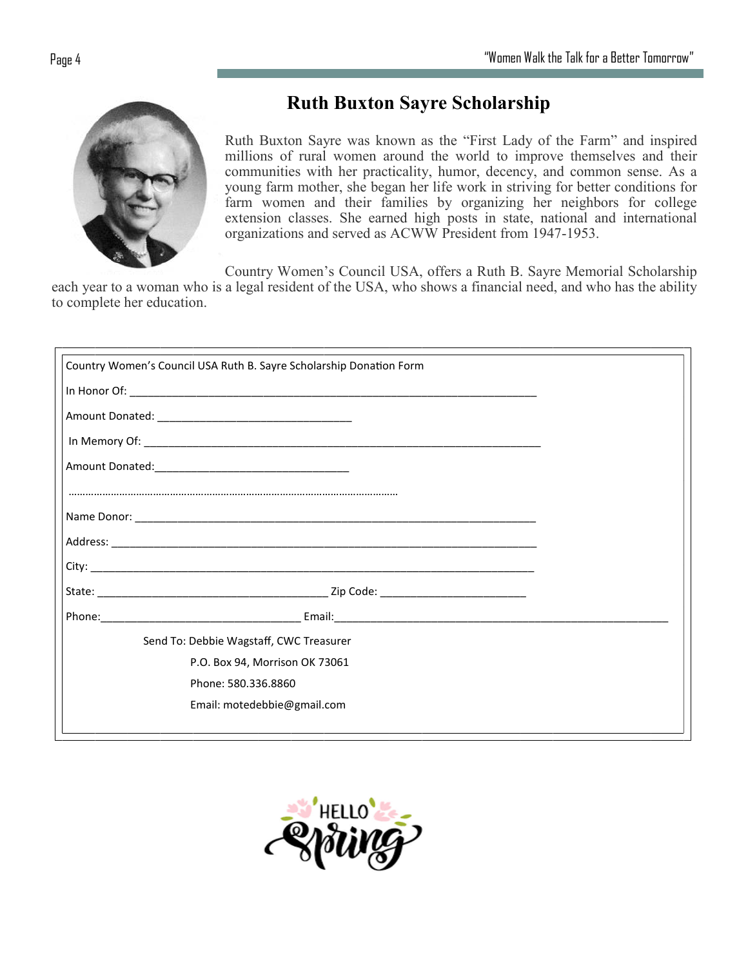

# **Ruth Buxton Sayre Scholarship**

Ruth Buxton Sayre was known as the "First Lady of the Farm" and inspired millions of rural women around the world to improve themselves and their communities with her practicality, humor, decency, and common sense. As a young farm mother, she began her life work in striving for better conditions for farm women and their families by organizing her neighbors for college extension classes. She earned high posts in state, national and international organizations and served as ACWW President from 1947-1953.

Country Women's Council USA, offers a Ruth B. Sayre Memorial Scholarship

each year to a woman who is a legal resident of the USA, who shows a financial need, and who has the ability to complete her education.

| Country Women's Council USA Ruth B. Sayre Scholarship Donation Form |  |
|---------------------------------------------------------------------|--|
|                                                                     |  |
|                                                                     |  |
|                                                                     |  |
|                                                                     |  |
|                                                                     |  |
|                                                                     |  |
|                                                                     |  |
|                                                                     |  |
|                                                                     |  |
|                                                                     |  |
| Send To: Debbie Wagstaff, CWC Treasurer                             |  |
| P.O. Box 94, Morrison OK 73061                                      |  |
| Phone: 580.336.8860                                                 |  |
| Email: motedebbie@gmail.com                                         |  |
|                                                                     |  |

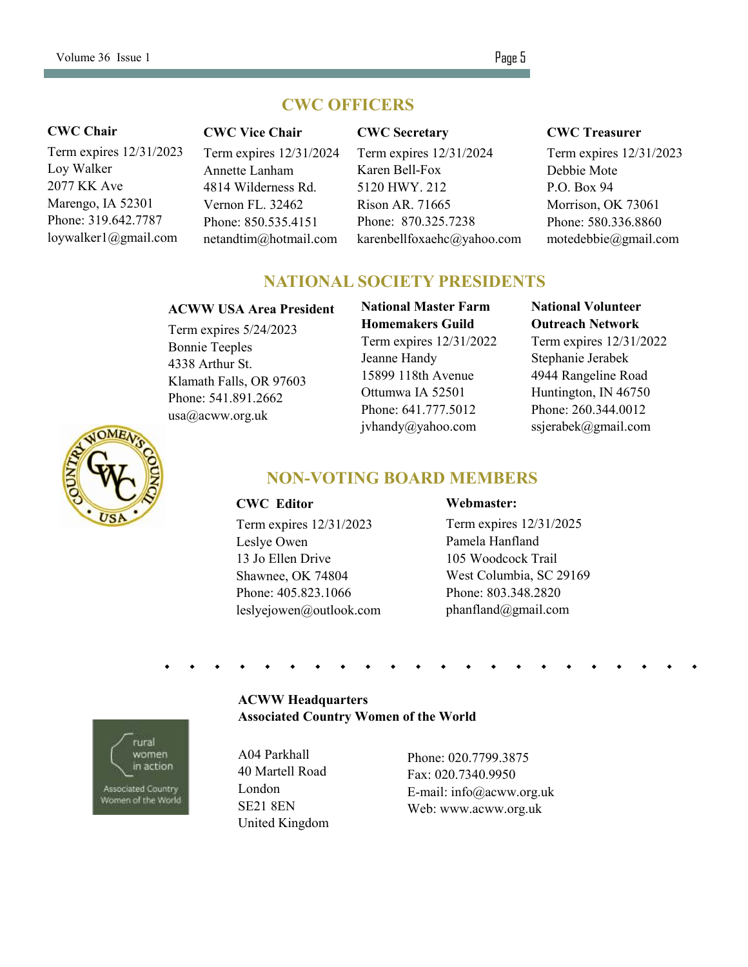### **CWC OFFICERS**

#### **CWC Chair**

Term expires 12/31/2023 Loy Walker 2077 KK Ave Marengo, IA 52301 Phone: 319.642.7787 loywalker1@gmail.com

#### **CWC Vice Chair**

Term expires 12/31/2024 Annette Lanham 4814 Wilderness Rd. Vernon FL. 32462 Phone: 850.535.4151 netandtim@hotmail.com

#### **CWC Secretary**

Term expires 12/31/2024 Karen Bell-Fox 5120 HWY. 212 Rison AR. 71665 Phone: 870.325.7238 karenbellfoxaehc@yahoo.com

#### **CWC Treasurer**

Term expires 12/31/2023 Debbie Mote P.O. Box 94 Morrison, OK 73061 Phone: 580.336.8860 motedebbie@gmail.com

### **NATIONAL SOCIETY PRESIDENTS**

#### **ACWW USA Area President**

Term expires 5/24/2023 Bonnie Teeples 4338 Arthur St. Klamath Falls, OR 97603 Phone: 541.891.2662 usa@acww.org.uk

**National Master Farm Homemakers Guild**  Term expires 12/31/2022 Jeanne Handy 15899 118th Avenue Ottumwa IA 52501 Phone: 641.777.5012 jvhandy@yahoo.com

#### **National Volunteer Outreach Network**

Term expires 12/31/2022 Stephanie Jerabek 4944 Rangeline Road Huntington, IN 46750 Phone: 260.344.0012 ssjerabek@gmail.com



### **NON-VOTING BOARD MEMBERS**

#### **CWC Editor**

Term expires 12/31/2023 Leslye Owen 13 Jo Ellen Drive Shawnee, OK 74804 Phone: 405.823.1066 leslyejowen@outlook.com

#### **Webmaster:**

Term expires 12/31/2025 Pamela Hanfland 105 Woodcock Trail West Columbia, SC 29169 Phone: 803.348.2820 phanfland@gmail.com

#### **ACWW Headquarters Associated Country Women of the World**

A04 Parkhall 40 Martell Road London SE21 8EN United Kingdom

Phone: 020.7799.3875 Fax: 020.7340.9950 E-mail: info@acww.org.uk Web: www.acww.org.uk

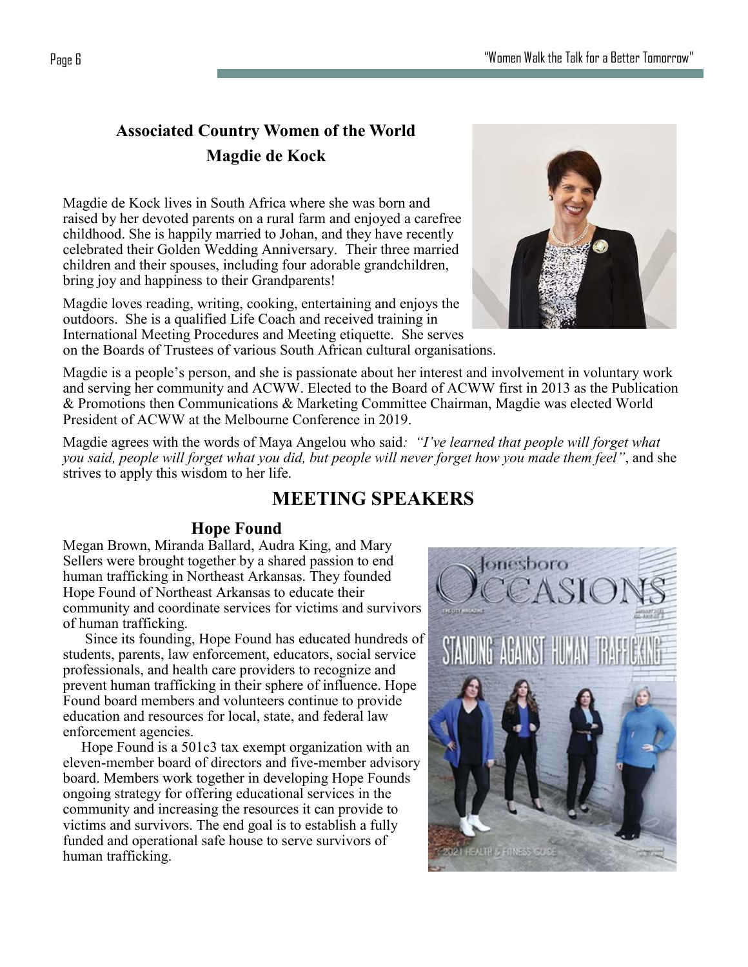# **Associated Country Women of the World Magdie de Kock**

Magdie de Kock lives in South Africa where she was born and raised by her devoted parents on a rural farm and enjoyed a carefree childhood. She is happily married to Johan, and they have recently celebrated their Golden Wedding Anniversary. Their three married children and their spouses, including four adorable grandchildren, bring joy and happiness to their Grandparents!

Magdie loves reading, writing, cooking, entertaining and enjoys the outdoors. She is a qualified Life Coach and received training in International Meeting Procedures and Meeting etiquette. She serves on the Boards of Trustees of various South African cultural organisations.

Magdie is a people's person, and she is passionate about her interest and involvement in voluntary work and serving her community and ACWW. Elected to the Board of ACWW first in 2013 as the Publication & Promotions then Communications & Marketing Committee Chairman, Magdie was elected World President of ACWW at the Melbourne Conference in 2019.

Magdie agrees with the words of Maya Angelou who said*: "I've learned that people will forget what you said, people will forget what you did, but people will never forget how you made them feel"*, and she strives to apply this wisdom to her life.

# **MEETING SPEAKERS**

# **Hope Found**

Megan Brown, Miranda Ballard, Audra King, and Mary Sellers were brought together by a shared passion to end human trafficking in Northeast Arkansas. They founded Hope Found of Northeast Arkansas to educate their community and coordinate services for victims and survivors of human trafficking.

 Since its founding, Hope Found has educated hundreds of students, parents, law enforcement, educators, social service professionals, and health care providers to recognize and prevent human trafficking in their sphere of influence. Hope Found board members and volunteers continue to provide education and resources for local, state, and federal law enforcement agencies.

 Hope Found is a 501c3 tax exempt organization with an eleven-member board of directors and five-member advisory board. Members work together in developing Hope Founds ongoing strategy for offering educational services in the community and increasing the resources it can provide to victims and survivors. The end goal is to establish a fully funded and operational safe house to serve survivors of human trafficking.



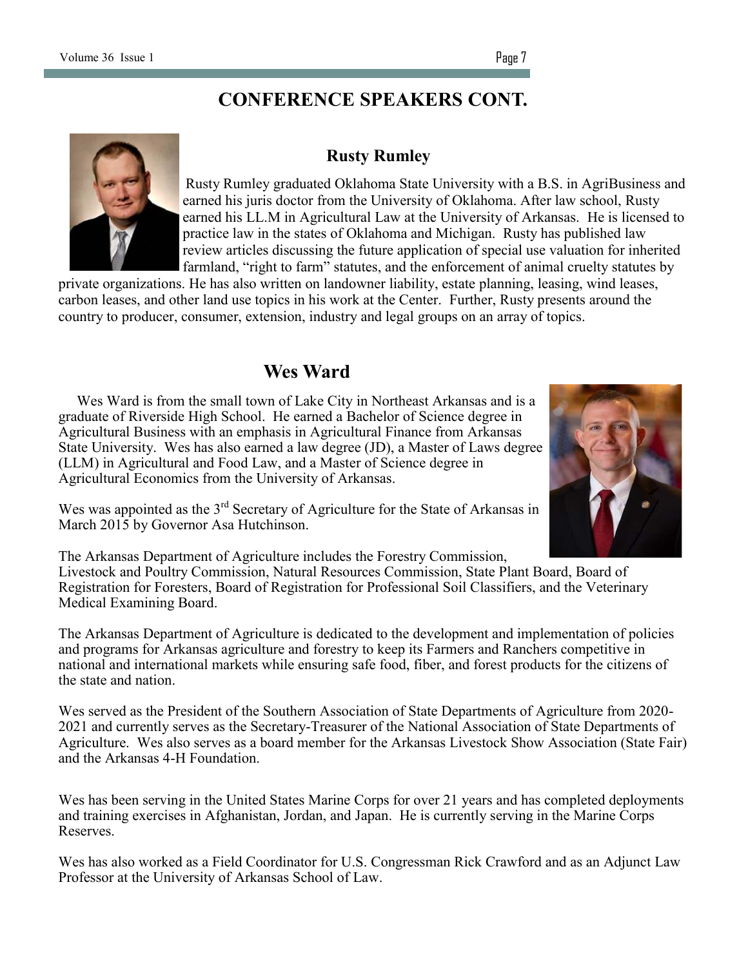# **CONFERENCE SPEAKERS CONT.**



### **Rusty Rumley**

Rusty Rumley graduated Oklahoma State University with a B.S. in AgriBusiness and earned his juris doctor from the University of Oklahoma. After law school, Rusty earned his LL.M in Agricultural Law at the University of Arkansas. He is licensed to practice law in the states of Oklahoma and Michigan. Rusty has published law review articles discussing the future application of special use valuation for inherited farmland, "right to farm" statutes, and the enforcement of animal cruelty statutes by

private organizations. He has also written on landowner liability, estate planning, leasing, wind leases, carbon leases, and other land use topics in his work at the Center. Further, Rusty presents around the country to producer, consumer, extension, industry and legal groups on an array of topics.

# **Wes Ward**

 Wes Ward is from the small town of Lake City in Northeast Arkansas and is a graduate of Riverside High School. He earned a Bachelor of Science degree in Agricultural Business with an emphasis in Agricultural Finance from Arkansas State University. Wes has also earned a law degree (JD), a Master of Laws degree (LLM) in Agricultural and Food Law, and a Master of Science degree in Agricultural Economics from the University of Arkansas.



Wes was appointed as the  $3<sup>rd</sup>$  Secretary of Agriculture for the State of Arkansas in March 2015 by Governor Asa Hutchinson.

The Arkansas Department of Agriculture includes the Forestry Commission,

Livestock and Poultry Commission, Natural Resources Commission, State Plant Board, Board of Registration for Foresters, Board of Registration for Professional Soil Classifiers, and the Veterinary Medical Examining Board.

The Arkansas Department of Agriculture is dedicated to the development and implementation of policies and programs for Arkansas agriculture and forestry to keep its Farmers and Ranchers competitive in national and international markets while ensuring safe food, fiber, and forest products for the citizens of the state and nation.

Wes served as the President of the Southern Association of State Departments of Agriculture from 2020- 2021 and currently serves as the Secretary-Treasurer of the National Association of State Departments of Agriculture. Wes also serves as a board member for the Arkansas Livestock Show Association (State Fair) and the Arkansas 4-H Foundation.

Wes has been serving in the United States Marine Corps for over 21 years and has completed deployments and training exercises in Afghanistan, Jordan, and Japan. He is currently serving in the Marine Corps Reserves.

Wes has also worked as a Field Coordinator for U.S. Congressman Rick Crawford and as an Adjunct Law Professor at the University of Arkansas School of Law.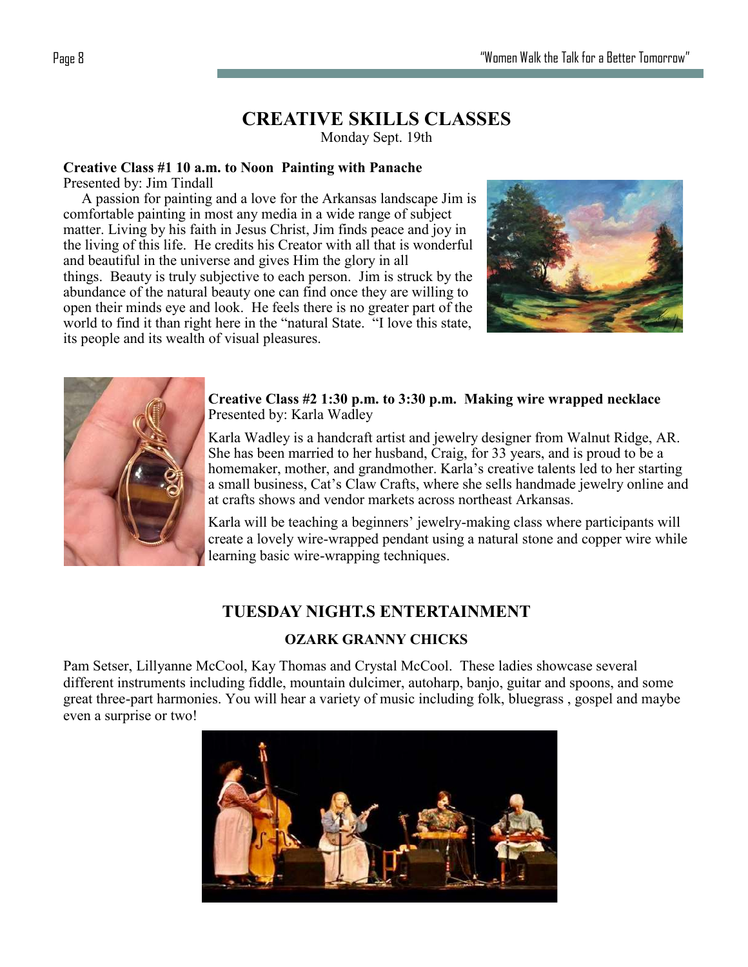# **CREATIVE SKILLS CLASSES**

Monday Sept. 19th

## **Creative Class #1 10 a.m. to Noon Painting with Panache**

Presented by: Jim Tindall

 A passion for painting and a love for the Arkansas landscape Jim is comfortable painting in most any media in a wide range of subject matter. Living by his faith in Jesus Christ, Jim finds peace and joy in the living of this life. He credits his Creator with all that is wonderful and beautiful in the universe and gives Him the glory in all things. Beauty is truly subjective to each person. Jim is struck by the abundance of the natural beauty one can find once they are willing to open their minds eye and look. He feels there is no greater part of the world to find it than right here in the "natural State. "I love this state, its people and its wealth of visual pleasures.





**Creative Class #2 1:30 p.m. to 3:30 p.m. Making wire wrapped necklace** Presented by: Karla Wadley

Karla Wadley is a handcraft artist and jewelry designer from Walnut Ridge, AR. She has been married to her husband, Craig, for 33 years, and is proud to be a homemaker, mother, and grandmother. Karla's creative talents led to her starting a small business, Cat's Claw Crafts, where she sells handmade jewelry online and at crafts shows and vendor markets across northeast Arkansas.

Karla will be teaching a beginners' jewelry-making class where participants will create a lovely wire-wrapped pendant using a natural stone and copper wire while learning basic wire-wrapping techniques.

# **TUESDAY NIGHT.S ENTERTAINMENT**

### **OZARK GRANNY CHICKS**

Pam Setser, Lillyanne McCool, Kay Thomas and Crystal McCool. These ladies showcase several different instruments including fiddle, mountain dulcimer, autoharp, banjo, guitar and spoons, and some great three-part harmonies. You will hear a variety of music including folk, bluegrass , gospel and maybe even a surprise or two!

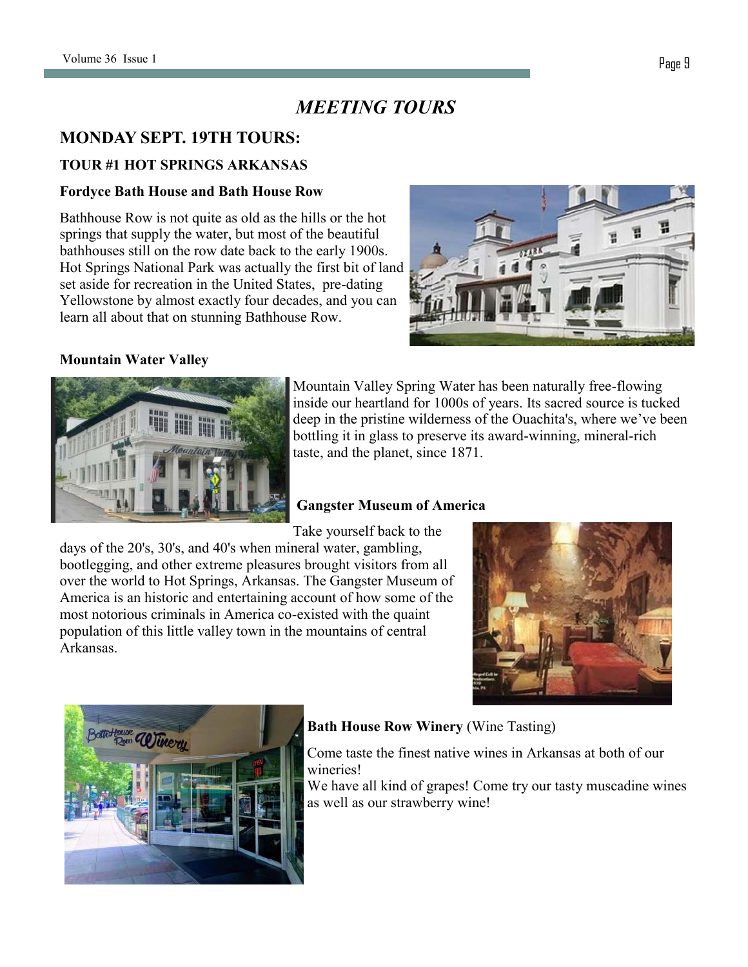# *MEETING TOURS*

## **MONDAY SEPT. 19TH TOURS:**

### **TOUR #1 HOT SPRINGS ARKANSAS**

#### **Fordyce Bath House and Bath House Row**

Bathhouse Row is not quite as old as the hills or the hot springs that supply the water, but most of the beautiful bathhouses still on the row date back to the early 1900s. Hot Springs National Park was actually the first bit of land set aside for recreation in the United States, pre-dating Yellowstone by almost exactly four decades, and you can learn all about that on stunning Bathhouse Row.



### **Mountain Water Valley**



Mountain Valley Spring Water has been naturally free-flowing inside our heartland for 1000s of years. Its sacred source is tucked deep in the pristine wilderness of the Ouachita's, where we've been bottling it in glass to preserve its award-winning, mineral-rich taste, and the planet, since 1871.

### **Gangster Museum of America**

Take yourself back to the

days of the 20's, 30's, and 40's when mineral water, gambling, bootlegging, and other extreme pleasures brought visitors from all over the world to Hot Springs, Arkansas. The Gangster Museum of America is an historic and entertaining account of how some of the most notorious criminals in America co-existed with the quaint population of this little valley town in the mountains of central Arkansas.





### **Bath House Row Winery** (Wine Tasting)

Come taste the finest native wines in Arkansas at both of our wineries!

We have all kind of grapes! Come try our tasty muscadine wines as well as our strawberry wine!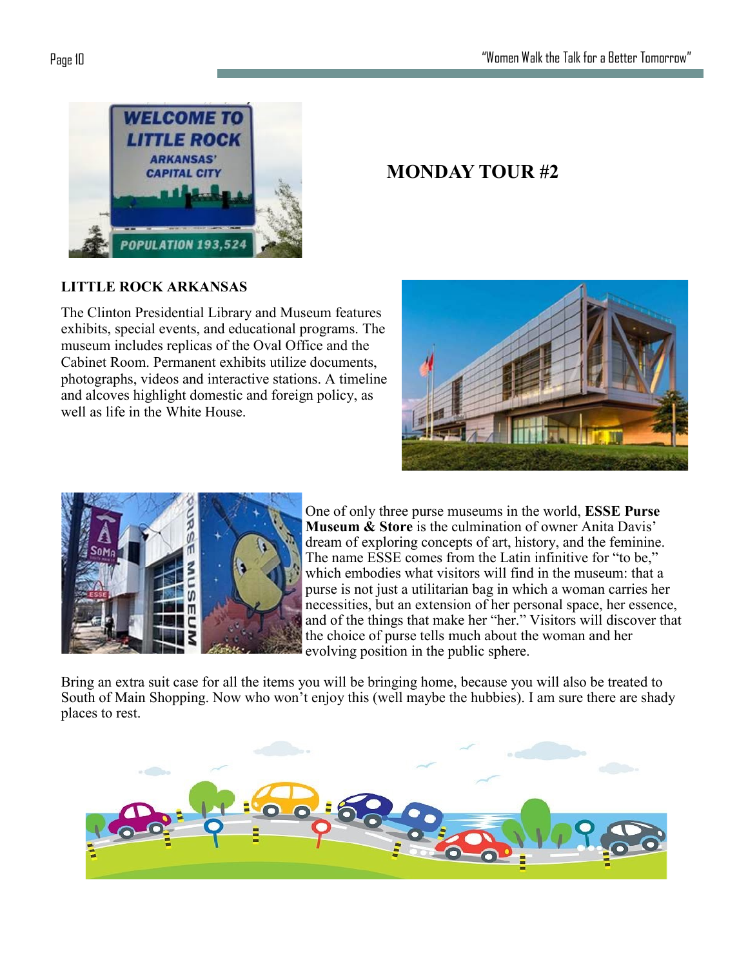

# **MONDAY TOUR #2**

### **LITTLE ROCK ARKANSAS**

The Clinton Presidential Library and Museum features exhibits, special events, and educational programs. The museum includes replicas of the Oval Office and the Cabinet Room. Permanent exhibits utilize documents, photographs, videos and interactive stations. A timeline and alcoves highlight domestic and foreign policy, as well as life in the White House.





One of only three purse museums in the world, **ESSE Purse Museum & Store** is the culmination of owner Anita Davis' dream of exploring concepts of art, history, and the feminine. The name ESSE comes from the Latin infinitive for "to be," which embodies what visitors will find in the museum: that a purse is not just a utilitarian bag in which a woman carries her necessities, but an extension of her personal space, her essence, and of the things that make her "her." Visitors will discover that the choice of purse tells much about the woman and her evolving position in the public sphere.

Bring an extra suit case for all the items you will be bringing home, because you will also be treated to South of Main Shopping. Now who won't enjoy this (well maybe the hubbies). I am sure there are shady places to rest.

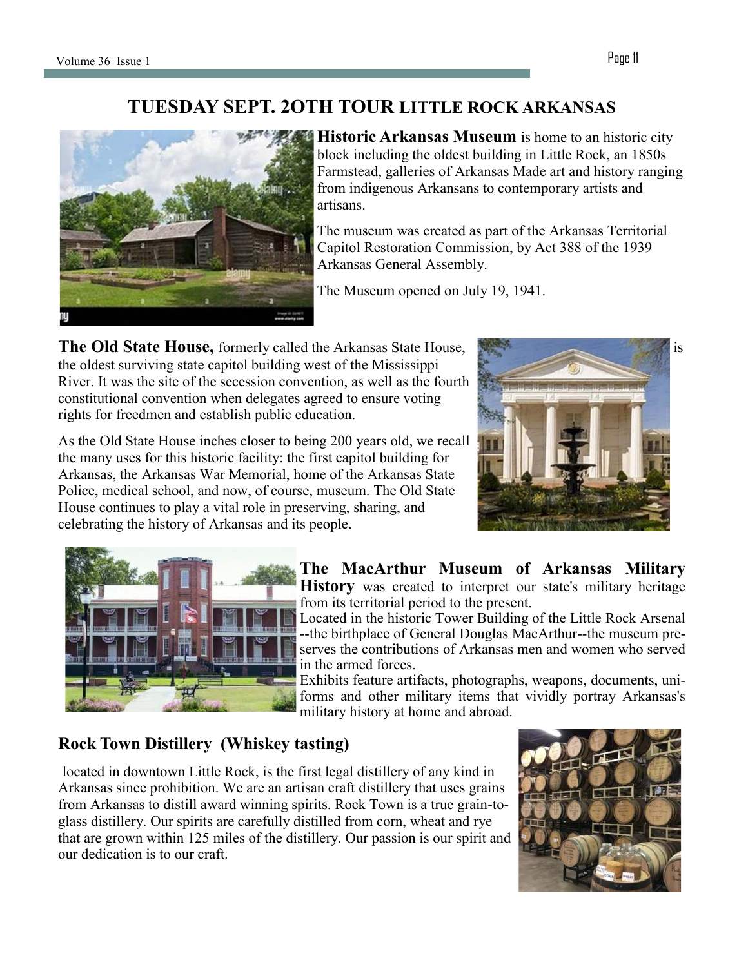# **TUESDAY SEPT. 2OTH TOUR LITTLE ROCK ARKANSAS**



**Historic Arkansas Museum** is home to an historic city block including the oldest building in Little Rock, an 1850s Farmstead, galleries of Arkansas Made art and history ranging from indigenous Arkansans to contemporary artists and artisans.

The museum was created as part of the Arkansas Territorial Capitol Restoration Commission, by Act 388 of the 1939 Arkansas General Assembly.

The Museum opened on July 19, 1941.

**The Old State House, formerly called the Arkansas State House, is a control of the Arkansas State House, is a control of the Arkansas State House, is a control of the Arkansas State House, is a control of the Arkansas Sta** the oldest surviving state capitol building west of the Mississippi River. It was the site of the secession convention, as well as the fourth constitutional convention when delegates agreed to ensure voting rights for freedmen and establish public education.

As the Old State House inches closer to being 200 years old, we recall the many uses for this historic facility: the first capitol building for Arkansas, the Arkansas War Memorial, home of the Arkansas State Police, medical school, and now, of course, museum. The Old State House continues to play a vital role in preserving, sharing, and celebrating the history of Arkansas and its people.





**The MacArthur Museum of Arkansas Military History** was created to interpret our state's military heritage from its territorial period to the present.

Located in the historic Tower Building of the Little Rock Arsenal --the birthplace of General Douglas MacArthur--the museum preserves the contributions of Arkansas men and women who served in the armed forces.

Exhibits feature artifacts, photographs, weapons, documents, uniforms and other military items that vividly portray Arkansas's military history at home and abroad.

# **Rock Town Distillery (Whiskey tasting)**

located in downtown Little Rock, is the first legal distillery of any kind in Arkansas since prohibition. We are an artisan craft distillery that uses grains from Arkansas to distill award winning spirits. Rock Town is a true grain-toglass distillery. Our spirits are carefully distilled from corn, wheat and rye that are grown within 125 miles of the distillery. Our passion is our spirit and our dedication is to our craft.

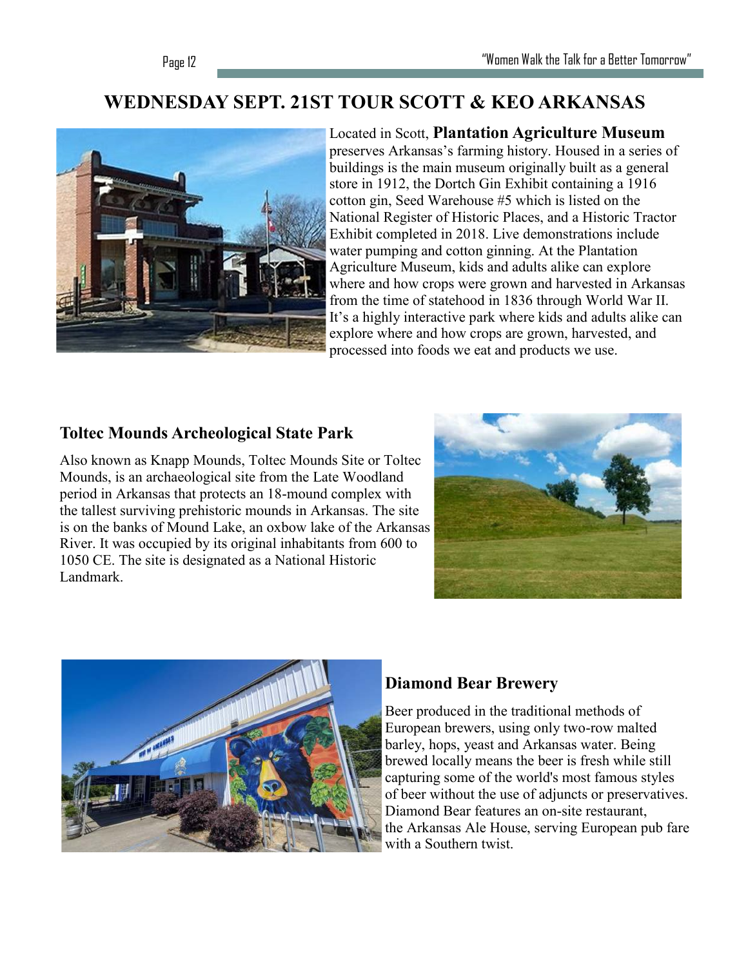# **WEDNESDAY SEPT. 21ST TOUR SCOTT & KEO ARKANSAS**



Located in Scott, **Plantation Agriculture Museum**  preserves Arkansas's farming history. Housed in a series of buildings is the main museum originally built as a general store in 1912, the Dortch Gin Exhibit containing a 1916 cotton gin, Seed Warehouse #5 which is listed on the National Register of Historic Places, and a Historic Tractor Exhibit completed in 2018. Live demonstrations include water pumping and cotton ginning. At the Plantation Agriculture Museum, kids and adults alike can explore where and how crops were grown and harvested in Arkansas from the time of statehood in 1836 through World War II. It's a highly interactive park where kids and adults alike can explore where and how crops are grown, harvested, and processed into foods we eat and products we use.

## **Toltec Mounds Archeological State Park**

Also known as Knapp Mounds, Toltec Mounds Site or Toltec Mounds, is an archaeological site from the Late Woodland period in Arkansas that protects an 18-mound complex with the tallest surviving prehistoric mounds in Arkansas. The site is on the banks of Mound Lake, an oxbow lake of the Arkansas River. It was occupied by its original inhabitants from 600 to 1050 CE. The site is designated as a National Historic Landmark.





# **Diamond Bear Brewery**

Beer produced in the traditional methods of European brewers, using only two-row malted barley, hops, yeast and Arkansas water. Being brewed locally means the beer is fresh while still capturing some of the world's most famous styles of beer without the use of adjuncts or preservatives. Diamond Bear features an on-site restaurant, the [Arkansas Ale House,](https://www.arkansas.com/attractions/detail/arkansas-ale-house/97860) serving European pub fare with a Southern twist.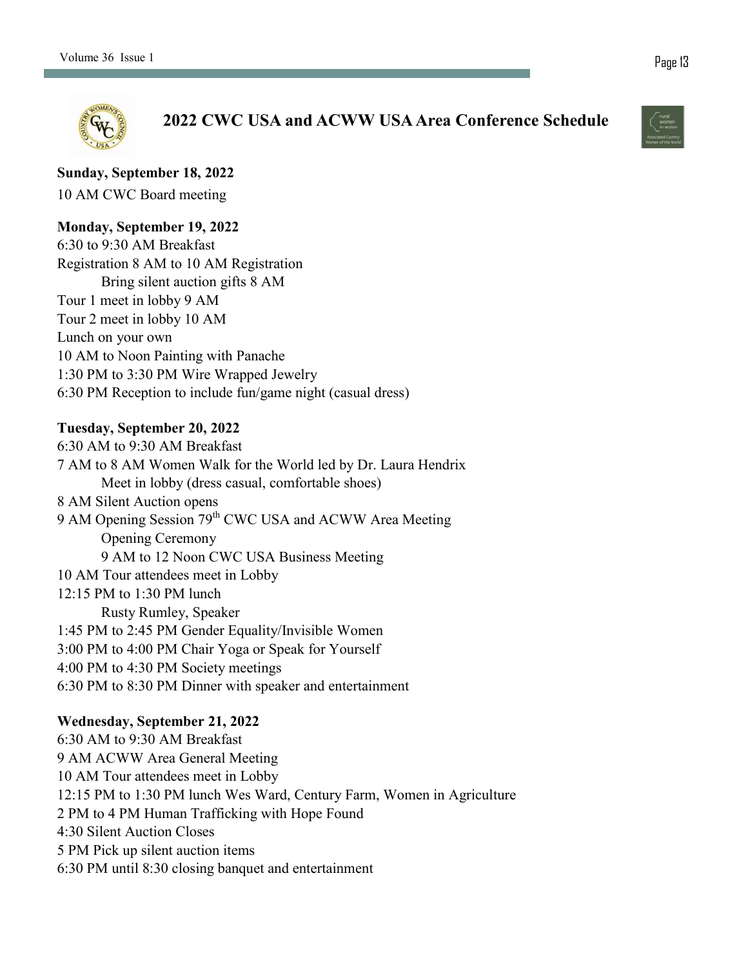

**2022 CWC USA and ACWW USA Area Conference Schedule**

**Sunday, September 18, 2022**

10 AM CWC Board meeting

### **Monday, September 19, 2022**

6:30 to 9:30 AM Breakfast Registration 8 AM to 10 AM Registration Bring silent auction gifts 8 AM Tour 1 meet in lobby 9 AM Tour 2 meet in lobby 10 AM Lunch on your own 10 AM to Noon Painting with Panache 1:30 PM to 3:30 PM Wire Wrapped Jewelry 6:30 PM Reception to include fun/game night (casual dress)

### **Tuesday, September 20, 2022**

6:30 AM to 9:30 AM Breakfast 7 AM to 8 AM Women Walk for the World led by Dr. Laura Hendrix Meet in lobby (dress casual, comfortable shoes) 8 AM Silent Auction opens 9 AM Opening Session 79<sup>th</sup> CWC USA and ACWW Area Meeting Opening Ceremony 9 AM to 12 Noon CWC USA Business Meeting 10 AM Tour attendees meet in Lobby 12:15 PM to 1:30 PM lunch Rusty Rumley, Speaker 1:45 PM to 2:45 PM Gender Equality/Invisible Women 3:00 PM to 4:00 PM Chair Yoga or Speak for Yourself 4:00 PM to 4:30 PM Society meetings 6:30 PM to 8:30 PM Dinner with speaker and entertainment

### **Wednesday, September 21, 2022**

6:30 AM to 9:30 AM Breakfast 9 AM ACWW Area General Meeting 10 AM Tour attendees meet in Lobby 12:15 PM to 1:30 PM lunch Wes Ward, Century Farm, Women in Agriculture 2 PM to 4 PM Human Trafficking with Hope Found 4:30 Silent Auction Closes 5 PM Pick up silent auction items 6:30 PM until 8:30 closing banquet and entertainment

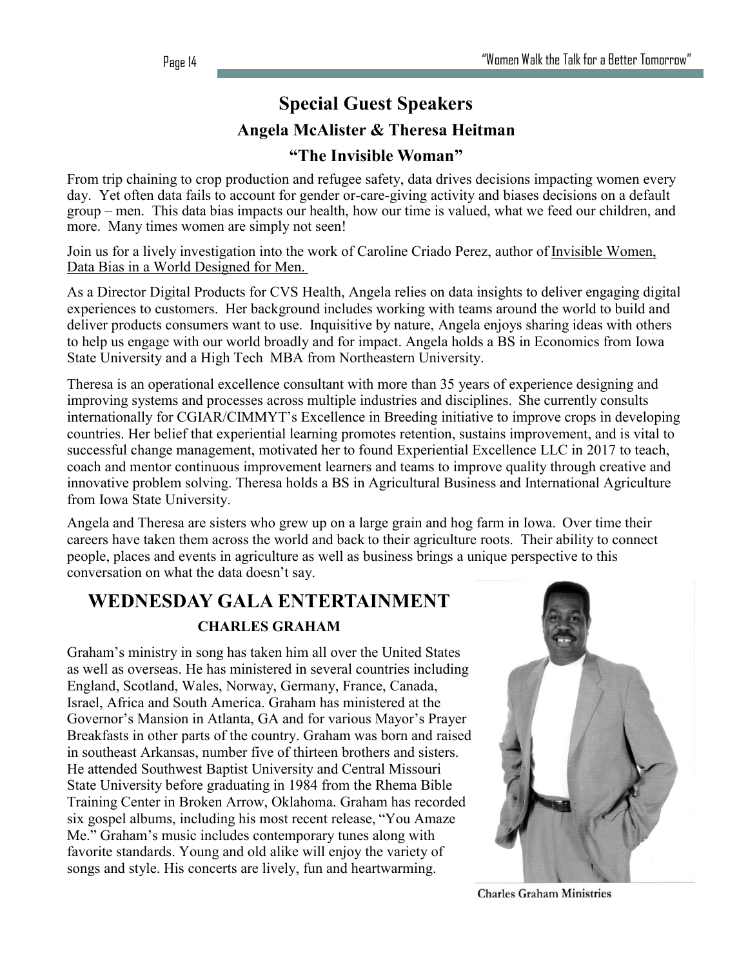# **Special Guest Speakers Angela McAlister & Theresa Heitman "The Invisible Woman"**

From trip chaining to crop production and refugee safety, data drives decisions impacting women every day. Yet often data fails to account for gender or-care-giving activity and biases decisions on a default group – men. This data bias impacts our health, how our time is valued, what we feed our children, and more. Many times women are simply not seen!

Join us for a lively investigation into the work of Caroline Criado Perez, author of Invisible Women, Data Bias in a World Designed for Men.

As a Director Digital Products for CVS Health, Angela relies on data insights to deliver engaging digital experiences to customers. Her background includes working with teams around the world to build and deliver products consumers want to use. Inquisitive by nature, Angela enjoys sharing ideas with others to help us engage with our world broadly and for impact. Angela holds a BS in Economics from Iowa State University and a High Tech MBA from Northeastern University.

Theresa is an operational excellence consultant with more than 35 years of experience designing and improving systems and processes across multiple industries and disciplines. She currently consults internationally for CGIAR/CIMMYT's Excellence in Breeding initiative to improve crops in developing countries. Her belief that experiential learning promotes retention, sustains improvement, and is vital to successful change management, motivated her to found Experiential Excellence LLC in 2017 to teach, coach and mentor continuous improvement learners and teams to improve quality through creative and innovative problem solving. Theresa holds a BS in Agricultural Business and International Agriculture from Iowa State University.

Angela and Theresa are sisters who grew up on a large grain and hog farm in Iowa. Over time their careers have taken them across the world and back to their agriculture roots. Their ability to connect people, places and events in agriculture as well as business brings a unique perspective to this conversation on what the data doesn't say.

# **WEDNESDAY GALA ENTERTAINMENT CHARLES GRAHAM**

Graham's ministry in song has taken him all over the United States as well as overseas. He has ministered in several countries including England, Scotland, Wales, Norway, Germany, France, Canada, Israel, Africa and South America. Graham has ministered at the Governor's Mansion in Atlanta, GA and for various Mayor's Prayer Breakfasts in other parts of the country. Graham was born and raised in southeast Arkansas, number five of thirteen brothers and sisters. He attended Southwest Baptist University and Central Missouri State University before graduating in 1984 from the Rhema Bible Training Center in Broken Arrow, Oklahoma. Graham has recorded six gospel albums, including his most recent release, "You Amaze Me." Graham's music includes contemporary tunes along with favorite standards. Young and old alike will enjoy the variety of songs and style. His concerts are lively, fun and heartwarming.



**Charles Graham Ministries**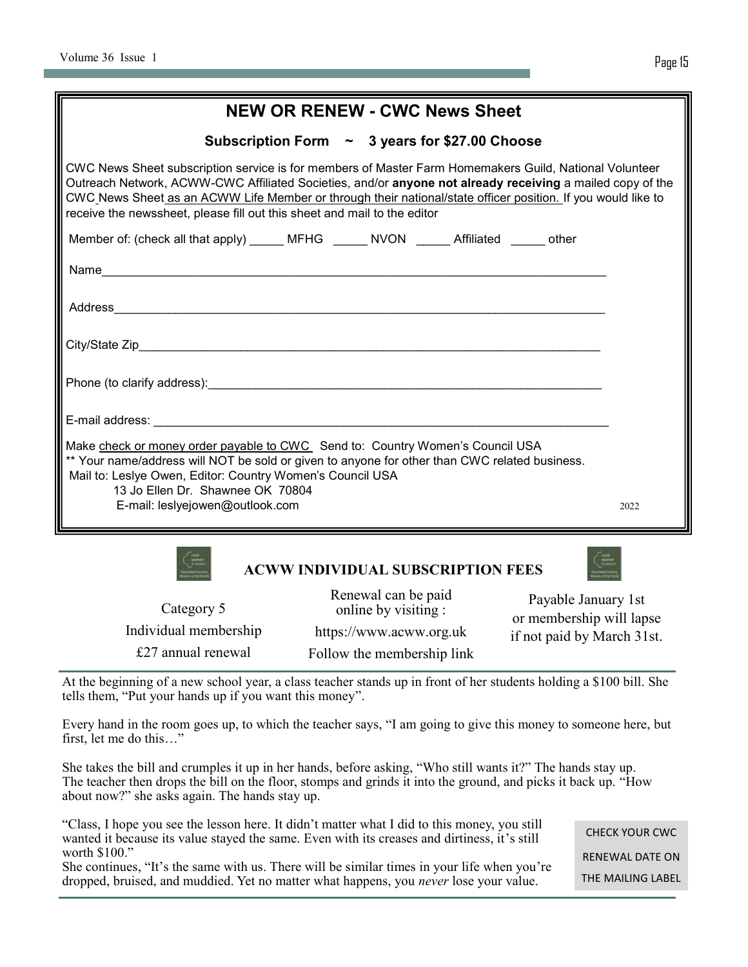|--|

| <b>NEW OR RENEW - CWC News Sheet</b>                                                                                                                                                                                                                                                                                                                                                                            |      |  |  |
|-----------------------------------------------------------------------------------------------------------------------------------------------------------------------------------------------------------------------------------------------------------------------------------------------------------------------------------------------------------------------------------------------------------------|------|--|--|
| Subscription Form $\sim$ 3 years for \$27.00 Choose                                                                                                                                                                                                                                                                                                                                                             |      |  |  |
| CWC News Sheet subscription service is for members of Master Farm Homemakers Guild, National Volunteer<br>Outreach Network, ACWW-CWC Affiliated Societies, and/or anyone not already receiving a mailed copy of the<br>CWC News Sheet as an ACWW Life Member or through their national/state officer position. If you would like to<br>receive the newssheet, please fill out this sheet and mail to the editor |      |  |  |
| Member of: (check all that apply) _____ MFHG _____ NVON _____ Affiliated _____ other                                                                                                                                                                                                                                                                                                                            |      |  |  |
|                                                                                                                                                                                                                                                                                                                                                                                                                 |      |  |  |
|                                                                                                                                                                                                                                                                                                                                                                                                                 |      |  |  |
|                                                                                                                                                                                                                                                                                                                                                                                                                 |      |  |  |
| Phone (to clarify address): experience and the control of the control of the control of the control of the control of the control of the control of the control of the control of the control of the control of the control of                                                                                                                                                                                  |      |  |  |
|                                                                                                                                                                                                                                                                                                                                                                                                                 |      |  |  |
| Make check or money order payable to CWC Send to: Country Women's Council USA<br>** Your name/address will NOT be sold or given to anyone for other than CWC related business.<br>Mail to: Leslye Owen, Editor: Country Women's Council USA<br>13 Jo Ellen Dr. Shawnee OK 70804                                                                                                                                 |      |  |  |
| E-mail: leslyejowen@outlook.com                                                                                                                                                                                                                                                                                                                                                                                 | 2022 |  |  |
| <b>ACWW INDIVIDUAL SUBSCRIPTION FEES</b><br>Renewal can be naid $P = \frac{11}{1}$ $I = \frac{1}{1}$                                                                                                                                                                                                                                                                                                            |      |  |  |

Category 5 Individual membership £27 annual renewal

newal can be paid online by visiting : https://www.acww.org.uk [F](acww.org.uk)ollow the membership link

Payable January 1st or membership will lapse if not paid by March 31st.

At the beginning of a new school year, a class teacher stands up in front of her students holding a \$100 bill. She tells them, "Put your hands up if you want this money".

Every hand in the room goes up, to which the teacher says, "I am going to give this money to someone here, but first, let me do this…"

She takes the bill and crumples it up in her hands, before asking, "Who still wants it?" The hands stay up. The teacher then drops the bill on the floor, stomps and grinds it into the ground, and picks it back up. "How about now?" she asks again. The hands stay up.

"Class, I hope you see the lesson here. It didn't matter what I did to this money, you still wanted it because its value stayed the same. Even with its creases and dirtiness, it's still worth \$100."

She continues, "It's the same with us. There will be similar times in your life when you're dropped, bruised, and muddied. Yet no matter what happens, you *never* lose your value.

CHECK YOUR CWC RENEWAL DATE ON THE MAILING LABEL